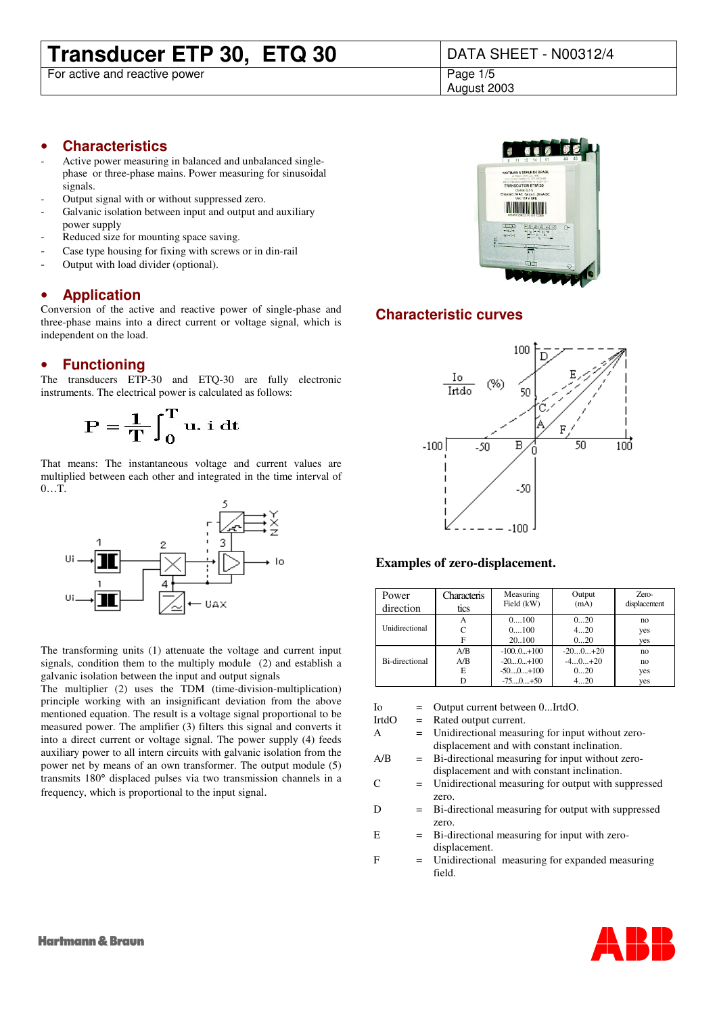## **Transducer ETP 30, ETQ 30** DATA SHEET - N00312/4

For active and reactive power

August 2003

#### • **Characteristics**

- Active power measuring in balanced and unbalanced singlephase or three-phase mains. Power measuring for sinusoidal signals.
- Output signal with or without suppressed zero.
- Galvanic isolation between input and output and auxiliary power supply
- Reduced size for mounting space saving.
- Case type housing for fixing with screws or in din-rail
- Output with load divider (optional).

#### • **Application**

Conversion of the active and reactive power of single-phase and three-phase mains into a direct current or voltage signal, which is independent on the load.

#### • **Functioning**

The transducers ETP-30 and ETQ-30 are fully electronic instruments. The electrical power is calculated as follows:

$$
\mathbf{P} = \frac{1}{\mathbf{T}} \int_0^{\mathbf{T}} \mathbf{u} \cdot \mathbf{i} \, \mathrm{d} \mathbf{t}
$$

That means: The instantaneous voltage and current values are multiplied between each other and integrated in the time interval of 0…T.



The transforming units (1) attenuate the voltage and current input signals, condition them to the multiply module (2) and establish a galvanic isolation between the input and output signals

The multiplier (2) uses the TDM (time-division-multiplication) principle working with an insignificant deviation from the above mentioned equation. The result is a voltage signal proportional to be measured power. The amplifier (3) filters this signal and converts it into a direct current or voltage signal. The power supply (4) feeds auxiliary power to all intern circuits with galvanic isolation from the power net by means of an own transformer. The output module (5) transmits 180° displaced pulses via two transmission channels in a frequency, which is proportional to the input signal.



#### **Characteristic curves**



#### **Examples of zero-displacement.**

| Power                 | Characteris | Measuring      | Output    | Zero-        |
|-----------------------|-------------|----------------|-----------|--------------|
| direction             | tics        | Field (kW)     | (mA)      | displacement |
| Unidirectional        | А           | 0100           | 020       | no           |
|                       | C           | 0100           | 420       | yes          |
|                       | F           | 20.100         | 020       | yes          |
| <b>Bi-directional</b> | A/B         | $-100.0 + 100$ | $-200+20$ | no           |
|                       | A/B         | $-200+100$     | $-40+20$  | no           |
|                       | E           | $-500+100$     | 020       | yes          |
|                       | D           | $-750+50$      | 420       | yes          |

Io = Output current between 0...IrtdO.

IrtdO = Rated output current.

A = Unidirectional measuring for input without zerodisplacement and with constant inclination.

A/B = Bi-directional measuring for input without zerodisplacement and with constant inclination.

- $C =$  Unidirectional measuring for output with suppressed zero.
- D = Bi-directional measuring for output with suppressed zero.
- E = Bi-directional measuring for input with zerodisplacement.
- F = Unidirectional measuring for expanded measuring field.

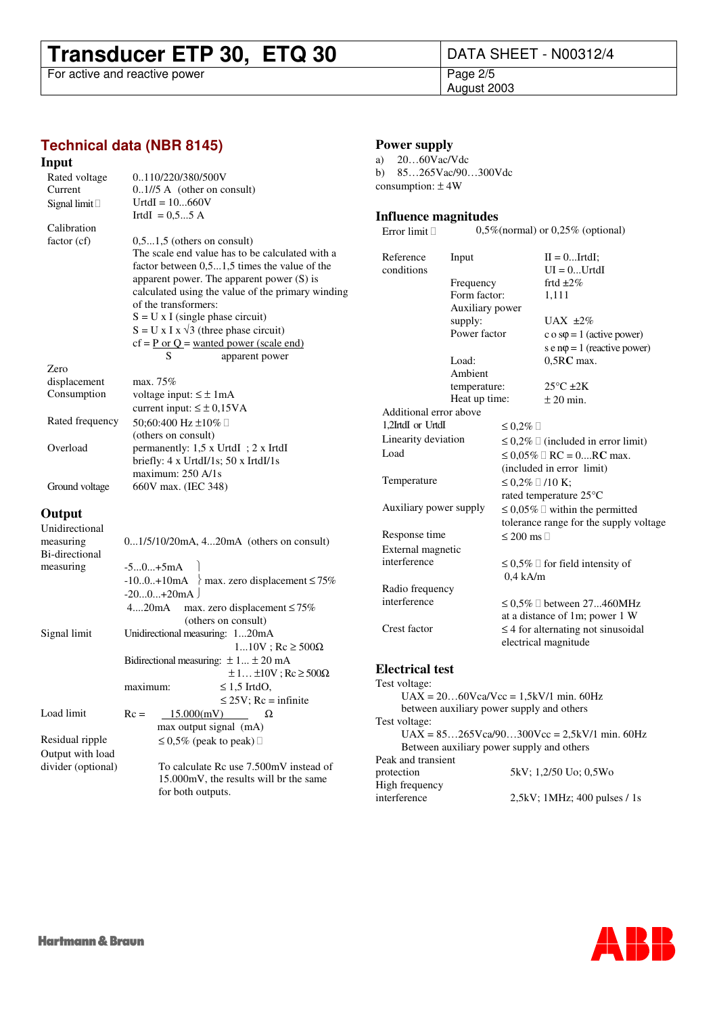# **Transducer ETP 30, ETQ 30**<br>For active and reactive power<br>Page 2/5

For active and reactive power

August 2003

### **Technical data (NBR 8145)**

#### **Input**

| Rated voltage   | 0110/220/380/500V                                      |  |  |  |  |  |  |  |
|-----------------|--------------------------------------------------------|--|--|--|--|--|--|--|
| Current         | $0.1/5$ A (other on consult)                           |  |  |  |  |  |  |  |
| Signal limit    | $UrtdI = 10660V$                                       |  |  |  |  |  |  |  |
|                 | IrtdI = $0.55$ A                                       |  |  |  |  |  |  |  |
| Calibration     |                                                        |  |  |  |  |  |  |  |
| factor (cf)     | $0.51.5$ (others on consult)                           |  |  |  |  |  |  |  |
|                 | The scale end value has to be calculated with a        |  |  |  |  |  |  |  |
|                 | factor between $0, 51, 5$ times the value of the       |  |  |  |  |  |  |  |
|                 | apparent power. The apparent power $(S)$ is            |  |  |  |  |  |  |  |
|                 | calculated using the value of the primary winding      |  |  |  |  |  |  |  |
|                 | of the transformers:                                   |  |  |  |  |  |  |  |
|                 | $S = U \times I$ (single phase circuit)                |  |  |  |  |  |  |  |
|                 | $S = U \times I \times \sqrt{3}$ (three phase circuit) |  |  |  |  |  |  |  |
|                 | $cf = P$ or $Q$ = wanted power (scale end)             |  |  |  |  |  |  |  |
|                 | S<br>apparent power                                    |  |  |  |  |  |  |  |
| Zero            |                                                        |  |  |  |  |  |  |  |
| displacement    | max. $75%$                                             |  |  |  |  |  |  |  |
| Consumption     | voltage input: $\leq \pm 1$ mA                         |  |  |  |  |  |  |  |
|                 | current input: $\leq \pm 0.15 \text{VA}$               |  |  |  |  |  |  |  |
| Rated frequency | 50:60:400 Hz ±10%                                      |  |  |  |  |  |  |  |
|                 | (others on consult)                                    |  |  |  |  |  |  |  |
|                 |                                                        |  |  |  |  |  |  |  |

Overload permanently: 1,5 x UrtdI ; 2 x IrtdI

maximum: 250 A/1s

briefly: 4 x UrtdI/1s; 50 x IrtdI/1s

Ground voltage 660V max. (IEC 348)

#### **Output**

| Unidirectional     |                                                    |  |  |  |  |  |  |  |  |  |
|--------------------|----------------------------------------------------|--|--|--|--|--|--|--|--|--|
| measuring          | $01/5/10/20mA$ , 420mA (others on consult)         |  |  |  |  |  |  |  |  |  |
| Bi-directional     |                                                    |  |  |  |  |  |  |  |  |  |
| measuring          | $-50+5mA$                                          |  |  |  |  |  |  |  |  |  |
|                    | $-100.+10$ mA > max. zero displacement $\leq 75\%$ |  |  |  |  |  |  |  |  |  |
|                    | $-200+20$ mA                                       |  |  |  |  |  |  |  |  |  |
|                    | 420mA<br>max. zero displacement $\leq 75\%$        |  |  |  |  |  |  |  |  |  |
|                    | (others on consult)                                |  |  |  |  |  |  |  |  |  |
| Signal limit       | Unidirectional measuring: 120mA                    |  |  |  |  |  |  |  |  |  |
|                    | $110V$ ; Rc $\geq 500\Omega$                       |  |  |  |  |  |  |  |  |  |
|                    | Bidirectional measuring: $\pm 1 \pm 20$ mA         |  |  |  |  |  |  |  |  |  |
|                    | $\pm 1 \pm 10V$ ; Rc $\geq 500\Omega$              |  |  |  |  |  |  |  |  |  |
|                    | maximum:<br>$\leq$ 1.5 IrtdO,                      |  |  |  |  |  |  |  |  |  |
|                    | $\leq$ 25V; Rc = infinite                          |  |  |  |  |  |  |  |  |  |
| Load limit         | $Rc =$<br>15.000(mV)<br>Ω                          |  |  |  |  |  |  |  |  |  |
|                    | max output signal (mA)                             |  |  |  |  |  |  |  |  |  |
| Residual ripple    | $\leq 0.5\%$ (peak to peak)                        |  |  |  |  |  |  |  |  |  |
| Output with load   |                                                    |  |  |  |  |  |  |  |  |  |
| divider (optional) | To calculate Rc use 7.500mV instead of             |  |  |  |  |  |  |  |  |  |
|                    | 15.000mV, the results will br the same             |  |  |  |  |  |  |  |  |  |
|                    | for both outputs.                                  |  |  |  |  |  |  |  |  |  |

#### **Power supply**

a) 20…60Vac/Vdc b) 85…265Vac/90…300Vdc consumption: ± 4W

### **Influence magnitudes**<br>Error limit 0,5%

 $0,5\%$ (normal) or  $0,25\%$  (optional)

| Reference<br>Input     |                 |                     | $II = 0$ IrtdI;                         |
|------------------------|-----------------|---------------------|-----------------------------------------|
| conditions             |                 |                     | $UI = 0UrtdI$                           |
|                        | Frequency       |                     | frtd $\pm 2\%$                          |
|                        | Form factor:    |                     | 1,111                                   |
|                        | Auxiliary power |                     |                                         |
|                        | supply:         |                     | UAX $\pm 2\%$                           |
|                        | Power factor    |                     | c o s $\varphi$ = 1 (active power)      |
|                        |                 |                     | s e $n\varphi = 1$ (reactive power)     |
|                        | Load:           |                     | $0,5RC$ max.                            |
|                        | Ambient         |                     |                                         |
|                        | temperature:    |                     | $25^{\circ}$ C $\pm 2K$                 |
|                        | Heat up time:   |                     | $\pm 20$ min.                           |
| Additional error above |                 |                     |                                         |
| 1,2IrtdI or UrtdI      |                 | $\leq 0.2\%$        |                                         |
| Linearity deviation    |                 |                     | $\leq 0.2\%$ (included in error limit)  |
| Load                   |                 | $\leq 0.05\%$       | $RC = 0$ $RC$ max.                      |
|                        |                 |                     | (included in error limit)               |
| Temperature            |                 | $\leq 0.2\%$ /10 K: |                                         |
|                        |                 |                     | rated temperature 25°C                  |
| Auxiliary power supply |                 |                     | $\leq 0.05\%$ within the permitted      |
|                        |                 |                     | tolerance range for the supply voltage  |
| Response time          |                 | $\leq 200$ ms       |                                         |
| External magnetic      |                 |                     |                                         |
| interference           |                 | $0.4$ kA/m          | $\leq 0.5\%$ for field intensity of     |
| Radio frequency        |                 |                     |                                         |
| interference           |                 | $\leq 0.5\%$        | between 27460MHz                        |
|                        |                 |                     | at a distance of 1m; power 1 W          |
| Crest factor           |                 |                     | $\leq$ 4 for alternating not sinusoidal |
|                        |                 |                     | electrical magnitude                    |
| <b>Electrical test</b> |                 |                     |                                         |

Test voltage:  $UAX = 20...60Vca/Vcc = 1,5kV/1$  min. 60Hz between auxiliary power supply and others Test voltage:  $UAX = 85...265Vca/90...300Vcc = 2.5kV/1$  min. 60Hz Between auxiliary power supply and others Peak and transient 5kV; 1,2/50 Uo; 0,5Wo High frequency interference 2,5kV; 1MHz; 400 pulses / 1s

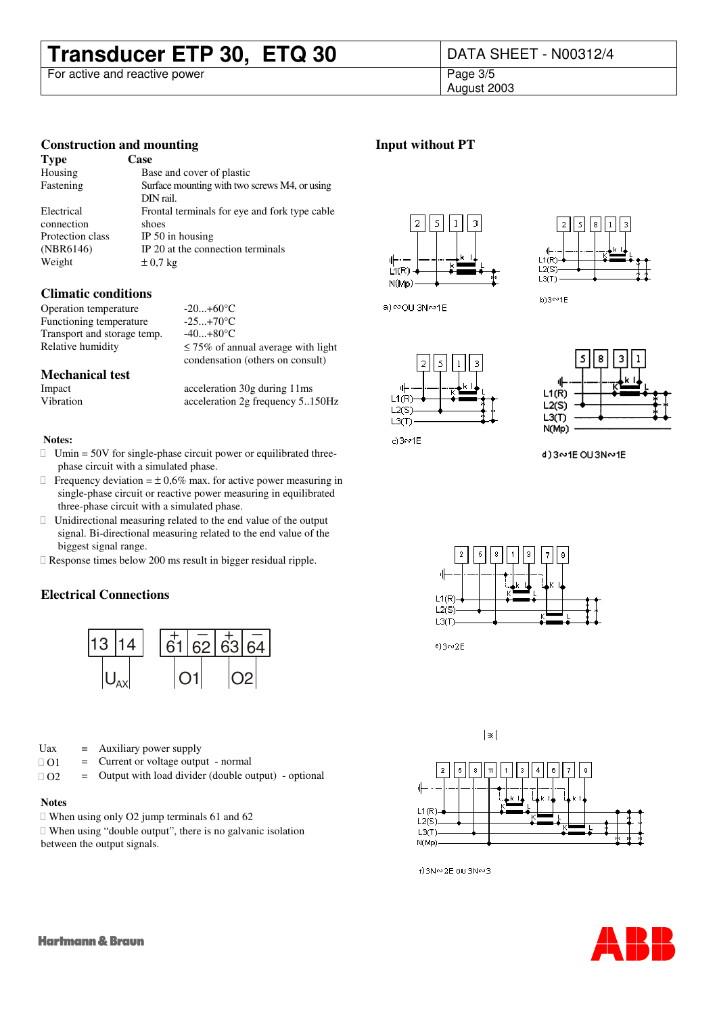## **Transducer ETP 30, ETQ 30** DATA SHEET - N00312/4

For active and reactive power

August 2003

#### **Construction and mounting**

| <b>Type</b>      | Case                                          |
|------------------|-----------------------------------------------|
| Housing          | Base and cover of plastic                     |
| Fastening        | Surface mounting with two screws M4, or using |
|                  | DIN rail.                                     |
| Electrical       | Frontal terminals for eye and fork type cable |
| connection       | shoes                                         |
| Protection class | IP $50$ in housing                            |
| (NBR6146)        | IP 20 at the connection terminals             |
| Weight           | $\pm 0.7$ kg                                  |

#### **Climatic conditions**

Operation temperature -20...+60°C Functioning temperature -25...+70°C Transport and storage temp.  $-40...+80^{\circ}C$ Relative humidity  $\leq 75\%$  of annual average with light

**Mechanical test**

acceleration 30g during 11ms Vibration acceleration 2g frequency 5..150Hz

condensation (others on consult)

#### **Notes:**

Umin = 50V for single-phase circuit power or equilibrated threephase circuit with a simulated phase.

Frequency deviation  $= \pm 0.6\%$  max. for active power measuring in single-phase circuit or reactive power measuring in equilibrated three-phase circuit with a simulated phase.

 Unidirectional measuring related to the end value of the output signal. Bi-directional measuring related to the end value of the biggest signal range.

Response times below 200 ms result in bigger residual ripple.

#### **Electrical Connections**



Uax **=** Auxiliary power supply

- $O1 =$  Current or voltage output normal
- O2 = Output with load divider (double output) optional

#### **Notes**

When using only O2 jump terminals 61 and 62

 When using "double output", there is no galvanic isolation between the output signals.





**Input without PT**



s

 $L1(R)$ 

 $L2(S)$ 

 $L3(T)$ 

 $c)$ 3 $\sim$ 1E



d)3~1E OU3N~1E

N(Mp)



 $e)3002E$ 





f)3N∾2E 0U3N∾3

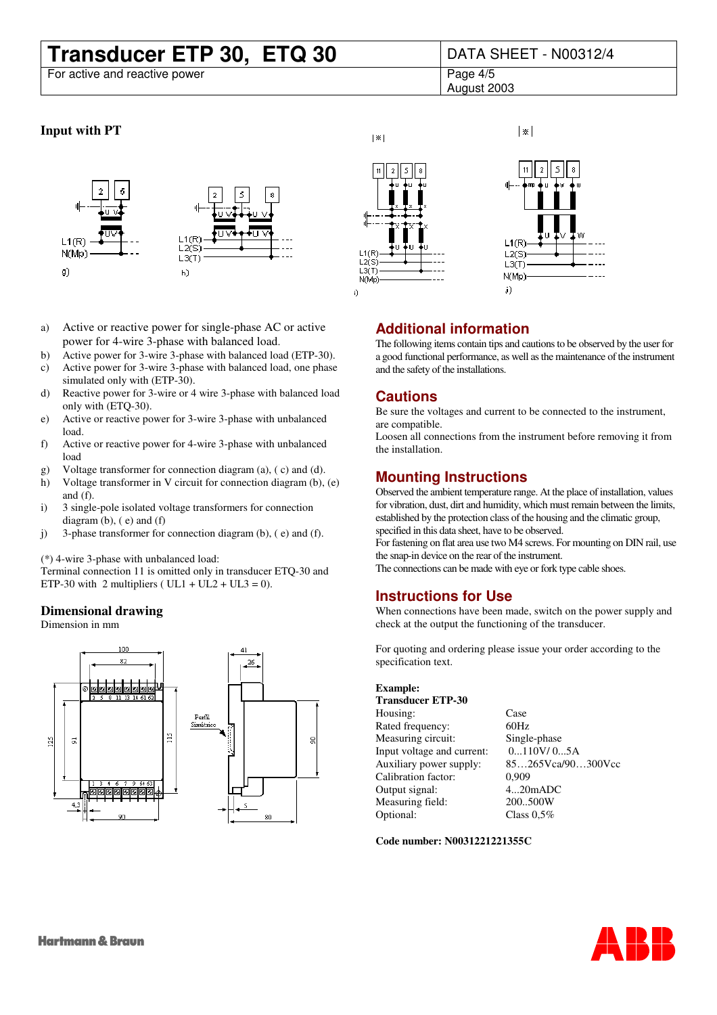# **Transducer ETP 30, ETQ 30** DATA SHEET - N00312/4

For active and reactive power

 $|\times|$ 

August 2003

#### **Input with PT**



- a) Active or reactive power for single-phase AC or active power for 4-wire 3-phase with balanced load.
- b) Active power for 3-wire 3-phase with balanced load (ETP-30).
- c) Active power for 3-wire 3-phase with balanced load, one phase simulated only with (ETP-30).
- d) Reactive power for 3-wire or 4 wire 3-phase with balanced load only with (ETQ-30).
- e) Active or reactive power for 3-wire 3-phase with unbalanced load.
- f) Active or reactive power for 4-wire 3-phase with unbalanced load
- g) Voltage transformer for connection diagram (a), ( c) and (d).
- h) Voltage transformer in V circuit for connection diagram (b), (e) and (f).
- i) 3 single-pole isolated voltage transformers for connection diagram (b), ( e) and (f)
- j) 3-phase transformer for connection diagram (b), ( e) and (f).

(\*) 4-wire 3-phase with unbalanced load:

Terminal connection 11 is omitted only in transducer ETQ-30 and ETP-30 with 2 multipliers ( $UL1 + UL2 + UL3 = 0$ ).

#### **Dimensional drawing**

Dimension in mm







### **Additional information**

The following items contain tips and cautions to be observed by the user for a good functional performance, as well as the maintenance of the instrument and the safety of the installations.

#### **Cautions**

Be sure the voltages and current to be connected to the instrument, are compatible.

Loosen all connections from the instrument before removing it from the installation.

#### **Mounting Instructions**

Observed the ambient temperature range. At the place of installation, values for vibration, dust, dirt and humidity, which must remain between the limits, established by the protection class of the housing and the climatic group, specified in this data sheet, have to be observed.

For fastening on flat area use two M4 screws. For mounting on DIN rail, use the snap-in device on the rear of the instrument.

The connections can be made with eye or fork type cable shoes.

#### **Instructions for Use**

When connections have been made, switch on the power supply and check at the output the functioning of the transducer.

For quoting and ordering please issue your order according to the specification text.

#### **Example:**

**Transducer ETP-30** Housing: Case

Rated frequency: 60Hz Measuring circuit: Single-phase<br>Input voltage and current: 0...110V/0...5A Input voltage and current: Calibration factor: 0,909 Output signal: 4...20mADC Measuring field: 200..500W Optional: Class 0,5%

Auxiliary power supply: 85…265Vca/90…300Vcc

**Code number: N0031221221355C**